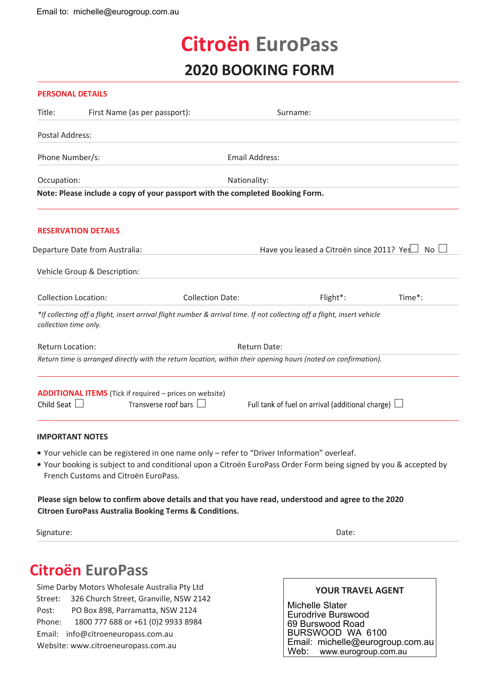# **Citroën EuroPass 2020 BOOKING FORM**

# **PERSONAL DETAILS**

| Title:                         | First Name (as per passport):                                                                                            |                                              | Surname:                                                |        |
|--------------------------------|--------------------------------------------------------------------------------------------------------------------------|----------------------------------------------|---------------------------------------------------------|--------|
| Postal Address:                |                                                                                                                          |                                              |                                                         |        |
| Phone Number/s:                |                                                                                                                          | <b>Email Address:</b>                        |                                                         |        |
| Occupation:                    |                                                                                                                          | Nationality:                                 |                                                         |        |
|                                | Note: Please include a copy of your passport with the completed Booking Form.                                            |                                              |                                                         |        |
|                                | <b>RESERVATION DETAILS</b>                                                                                               |                                              |                                                         |        |
| Departure Date from Australia: |                                                                                                                          | Have you leased a Citroën since 2011? Yes No |                                                         |        |
|                                | Vehicle Group & Description:                                                                                             |                                              |                                                         |        |
|                                | <b>Collection Location:</b>                                                                                              | <b>Collection Date:</b>                      | Flight*:                                                | Time*: |
| collection time only.          | *If collecting off a flight, insert arrival flight number & arrival time. If not collecting off a flight, insert vehicle |                                              |                                                         |        |
|                                | Return Location:<br>Return Date:                                                                                         |                                              |                                                         |        |
|                                | Return time is arranged directly with the return location, within their opening hours (noted on confirmation).           |                                              |                                                         |        |
|                                | <b>ADDITIONAL ITEMS</b> (Tick if required – prices on website)                                                           |                                              |                                                         |        |
| Child Seat $\Box$              | Transverse roof bars $\Box$                                                                                              |                                              | Full tank of fuel on arrival (additional charge) $\Box$ |        |
|                                | <b>IMPORTANT NOTES</b>                                                                                                   |                                              |                                                         |        |
|                                | . Your vehicle can be registered in one name only - refer to "Driver Information" overleaf.                              |                                              |                                                         |        |

**•** Your booking is subject to and conditional upon a Citroën EuroPass Order Form being signed by you & accepted by French Customs and Citroën EuroPass.

**Please sign below to confirm above details and that you have read, understood and agree to the 2020 Citroen EuroPass Australia Booking Terms & Conditions.**

Signature: Date: Date: Date: Date: Date: Date: Date: Date: Date: Date: Date: Date: Date: Date: Date: Date: Date: Date: Date: Date: Date: Date: Date: Date: Date: Date: Date: Date: Date: Date: Date: Date: Date: Date: Date: D

# **Citroën EuroPass**

Sime Darby Motors Wholesale Australia Pty Ltd Street: 326 Church Street, Granville, NSW 2142 Post: PO Box 898, Parramatta, NSW 2124 Phone: 1800 777 688 or +61 (0)2 9933 8984 Email: info@citroeneuropass.com.au Website: www.citroeneuropass.com.au

# **YOUR TRAVEL AGENT**

Michelle Slater Eurodrive Burswood 69 Burswood Road BURSWOOD WA 6100 Email: michelle@eurogroup.com.au<br>Web: www.eurogroup.com.au www.eurogroup.com.au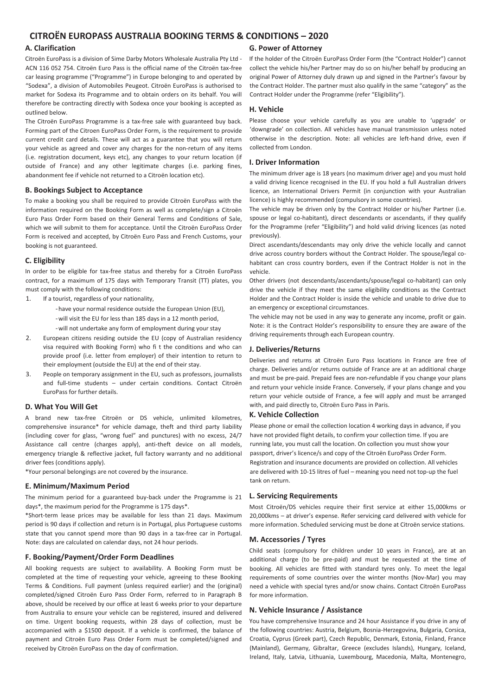# **CITROËN EUROPASS AUSTRALIA BOOKING TERMS & CONDITIONS – 2020**

# **A. Clarification**

Citroën EuroPass is a division of Sime Darby Motors Wholesale Australia Pty Ltd - ACN 116 052 754. Citroën Euro Pass is the official name of the Citroën tax-free car leasing programme ("Programme") in Europe belonging to and operated by "Sodexa", a division of Automobiles Peugeot. Citroën EuroPass is authorised to market for Sodexa its Programme and to obtain orders on its behalf. You will therefore be contracting directly with Sodexa once your booking is accepted as outlined below.

The Citroën EuroPass Programme is a tax-free sale with guaranteed buy back. Forming part of the Citroen EuroPass Order Form, is the requirement to provide current credit card details. These will act as a guarantee that you will return your vehicle as agreed and cover any charges for the non-return of any items (i.e. registration document, keys etc), any changes to your return location (if outside of France) and any other legitimate charges (i.e. parking fines, abandonment fee if vehicle not returned to a Citroën location etc).

# **B. Bookings Subject to Acceptance**

To make a booking you shall be required to provide Citroën EuroPass with the information required on the Booking Form as well as complete/sign a Citroën Euro Pass Order Form based on their General Terms and Conditions of Sale, which we will submit to them for acceptance. Until the Citroën EuroPass Order Form is received and accepted, by Citroën Euro Pass and French Customs, your booking is not guaranteed.

# **C. Eligibility**

In order to be eligible for tax-free status and thereby for a Citroën EuroPass contract, for a maximum of 175 days with Temporary Transit (TT) plates, you must comply with the following conditions:

- 1. If a tourist, regardless of your nationality,
	- -have your normal residence outside the European Union (EU),
	- -will visit the EU for less than 185 days in a 12 month period,
	- -will not undertake any form of employment during your stay
- 2. European citizens residing outside the EU (copy of Australian residency visa required with Booking Form) who fi t the conditions and who can provide proof (i.e. letter from employer) of their intention to return to their employment (outside the EU) at the end of their stay.
- 3. People on temporary assignment in the EU, such as professors, journalists and full-time students – under certain conditions. Contact Citroën EuroPass for further details.

# **D. What You Will Get**

A brand new tax-free Citroën or DS vehicle, unlimited kilometres, comprehensive insurance\* for vehicle damage, theft and third party liability (including cover for glass, "wrong fuel" and punctures) with no excess, 24/7 Assistance call centre (charges apply), anti-theft device on all models, emergency triangle & reflective jacket, full factory warranty and no additional driver fees (conditions apply).

\*Your personal belongings are not covered by the insurance.

## **E. Minimum/Maximum Period**

The minimum period for a guaranteed buy-back under the Programme is 21 days\*, the maximum period for the Programme is 175 days\*.

\*Short-term lease prices may be available for less than 21 days. Maximum period is 90 days if collection and return is in Portugal, plus Portuguese customs state that you cannot spend more than 90 days in a tax-free car in Portugal. Note: days are calculated on calendar days, not 24 hour periods.

# **F. Booking/Payment/Order Form Deadlines**

All booking requests are subject to availability. A Booking Form must be completed at the time of requesting your vehicle, agreeing to these Booking Terms & Conditions. Full payment (unless required earlier) and the (original) completed/signed Citroën Euro Pass Order Form, referred to in Paragraph B above, should be received by our office at least 6 weeks prior to your departure from Australia to ensure your vehicle can be registered, insured and delivered on time. Urgent booking requests, within 28 days of collection, must be accompanied with a \$1500 deposit. If a vehicle is confirmed, the balance of payment and Citroën Euro Pass Order Form must be completed/signed and received by Citroën EuroPass on the day of confirmation.

# **G. Power of Attorney**

If the holder of the Citroën EuroPass Order Form (the "Contract Holder") cannot collect the vehicle his/her Partner may do so on his/her behalf by producing an original Power of Attorney duly drawn up and signed in the Partner's favour by the Contract Holder. The partner must also qualify in the same "category" as the Contract Holder under the Programme (refer "Eligibility").

## **H. Vehicle**

Please choose your vehicle carefully as you are unable to 'upgrade' or 'downgrade' on collection. All vehicles have manual transmission unless noted otherwise in the description. Note: all vehicles are left-hand drive, even if collected from London.

# **I. Driver Information**

The minimum driver age is 18 years (no maximum driver age) and you must hold a valid driving licence recognised in the EU. If you hold a full Australian drivers licence, an International Drivers Permit (in conjunction with your Australian licence) is highly recommended (compulsory in some countries).

The vehicle may be driven only by the Contract Holder or his/her Partner (i.e. spouse or legal co-habitant), direct descendants or ascendants, if they qualify for the Programme (refer "Eligibility") and hold valid driving licences (as noted previously).

Direct ascendants/descendants may only drive the vehicle locally and cannot drive across country borders without the Contract Holder. The spouse/legal cohabitant can cross country borders, even if the Contract Holder is not in the vehicle.

Other drivers (not descendants/ascendants/spouse/legal co-habitant) can only drive the vehicle if they meet the same eligibility conditions as the Contract Holder and the Contract Holder is inside the vehicle and unable to drive due to an emergency or exceptional circumstances.

The vehicle may not be used in any way to generate any income, profit or gain. Note: it is the Contract Holder's responsibility to ensure they are aware of the driving requirements through each European country.

# **J. Deliveries/Returns**

Deliveries and returns at Citroën Euro Pass locations in France are free of charge. Deliveries and/or returns outside of France are at an additional charge and must be pre-paid. Prepaid fees are non-refundable if you change your plans and return your vehicle inside France. Conversely, if your plans change and you return your vehicle outside of France, a fee will apply and must be arranged with, and paid directly to, Citroën Euro Pass in Paris.

# **K. Vehicle Collection**

Please phone or email the collection location 4 working days in advance, if you have not provided flight details, to confirm your collection time. If you are running late, you must call the location. On collection you must show your passport, driver's licence/s and copy of the Citroën EuroPass Order Form. Registration and insurance documents are provided on collection. All vehicles are delivered with 10-15 litres of fuel – meaning you need not top-up the fuel tank on return.

# **L. Servicing Requirements**

Most Citroën/DS vehicles require their first service at either 15,000kms or 20,000kms – at driver's expense. Refer servicing card delivered with vehicle for more information. Scheduled servicing must be done at Citroën service stations.

#### **M. Accessories / Tyres**

Child seats (compulsory for children under 10 years in France), are at an additional charge (to be pre-paid) and must be requested at the time of booking. All vehicles are fitted with standard tyres only. To meet the legal requirements of some countries over the winter months (Nov-Mar) you may need a vehicle with special tyres and/or snow chains. Contact Citroën EuroPass for more information.

# **N. Vehicle Insurance / Assistance**

You have comprehensive Insurance and 24 hour Assistance if you drive in any of the following countries: Austria, Belgium, Bosnia-Herzegovina, Bulgaria, Corsica, Croatia, Cyprus (Greek part), Czech Republic, Denmark, Estonia, Finland, France (Mainland), Germany, Gibraltar, Greece (excludes Islands), Hungary, Iceland, Ireland, Italy, Latvia, Lithuania, Luxembourg, Macedonia, Malta, Montenegro,